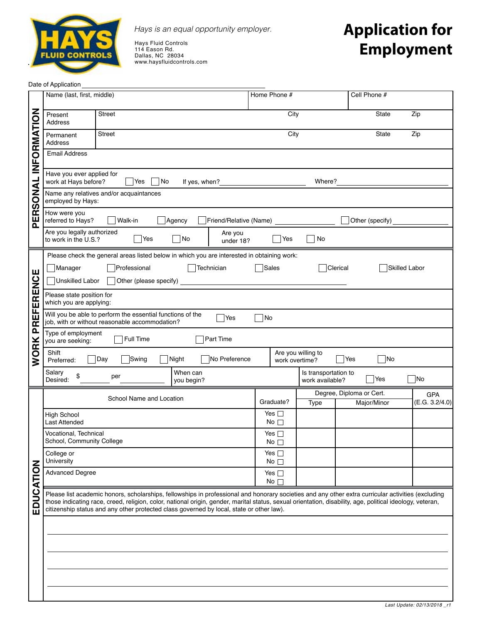

*Hays is an equal opportunity employer.*

Hays Fluid Controls 114 Eason Rd. Dallas, NC 28034 www.haysfluidcontrols.com

## **Application for Employment**

Date of Application

|                       | Name (last, first, middle)                                                                                                                                                                                                                                                                                                                                                                                  |                               |                                                   | Home Phone #                 |                                         | Cell Phone #                            |                              |  |
|-----------------------|-------------------------------------------------------------------------------------------------------------------------------------------------------------------------------------------------------------------------------------------------------------------------------------------------------------------------------------------------------------------------------------------------------------|-------------------------------|---------------------------------------------------|------------------------------|-----------------------------------------|-----------------------------------------|------------------------------|--|
|                       | Present<br>Address                                                                                                                                                                                                                                                                                                                                                                                          | <b>Street</b>                 |                                                   | City                         |                                         | State                                   | Zip                          |  |
|                       | Permanent<br>Address                                                                                                                                                                                                                                                                                                                                                                                        | Street                        |                                                   | City                         |                                         | State                                   | Zip                          |  |
| <b>INFORMATION</b>    | <b>Email Address</b>                                                                                                                                                                                                                                                                                                                                                                                        |                               |                                                   |                              |                                         |                                         |                              |  |
| PERSONAL              | Have you ever applied for<br>work at Hays before?<br>  No<br>Yes<br>If yes, when?                                                                                                                                                                                                                                                                                                                           |                               | Where?                                            |                              |                                         |                                         |                              |  |
|                       | Name any relatives and/or acquaintances<br>employed by Hays:                                                                                                                                                                                                                                                                                                                                                |                               |                                                   |                              |                                         |                                         |                              |  |
|                       | How were you<br>Walk-in<br>Friend/Relative (Name)<br>referred to Hays?<br>Agency                                                                                                                                                                                                                                                                                                                            |                               |                                                   |                              |                                         | Other (specify)                         |                              |  |
|                       | Are you legally authorized<br>Are you<br>$\sqrt{}$ Yes<br>No<br>No<br>Yes<br>to work in the U.S.?<br>under 18?                                                                                                                                                                                                                                                                                              |                               |                                                   |                              |                                         |                                         |                              |  |
| Щ<br><b>PREFERENC</b> | Please check the general areas listed below in which you are interested in obtaining work:<br>Sales <sup></sup><br>Skilled Labor<br>Manager<br>Professional<br>Technician<br>Clerical                                                                                                                                                                                                                       |                               |                                                   |                              |                                         |                                         |                              |  |
|                       | Unskilled Labor<br>Other (please specify)                                                                                                                                                                                                                                                                                                                                                                   |                               |                                                   |                              |                                         |                                         |                              |  |
|                       | Please state position for<br>which you are applying:                                                                                                                                                                                                                                                                                                                                                        |                               |                                                   |                              |                                         |                                         |                              |  |
|                       | Will you be able to perform the essential functions of the<br> Yes<br> No<br>job, with or without reasonable accommodation?                                                                                                                                                                                                                                                                                 |                               |                                                   |                              |                                         |                                         |                              |  |
|                       | Type of employment<br>Full Time<br>Part Time<br>you are seeking:                                                                                                                                                                                                                                                                                                                                            |                               |                                                   |                              |                                         |                                         |                              |  |
| <b>WORK</b>           | Shift<br>Swing<br>No Preference<br>Night<br>Day<br>Preferred:                                                                                                                                                                                                                                                                                                                                               |                               | Are you willing to<br>Yes<br>No<br>work overtime? |                              |                                         |                                         |                              |  |
|                       | Salary<br>\$<br>Desired:                                                                                                                                                                                                                                                                                                                                                                                    | When can<br>per<br>you begin? |                                                   |                              | Is transportation to<br>work available? | Yes                                     | No                           |  |
|                       |                                                                                                                                                                                                                                                                                                                                                                                                             | School Name and Location      |                                                   | Graduate?                    | Type                                    | Degree, Diploma or Cert.<br>Major/Minor | <b>GPA</b><br>(E.G. 3.2/4.0) |  |
|                       | <b>High School</b><br>Last Attended                                                                                                                                                                                                                                                                                                                                                                         |                               | Yes $\Box$<br>No $\Box$                           |                              |                                         |                                         |                              |  |
|                       | Vocational, Technical<br>School, Community College                                                                                                                                                                                                                                                                                                                                                          |                               | Yes $\Box$<br>No                                  |                              |                                         |                                         |                              |  |
|                       | College or<br>University                                                                                                                                                                                                                                                                                                                                                                                    |                               | Yes $\square$<br>No                               |                              |                                         |                                         |                              |  |
|                       | <b>Advanced Degree</b>                                                                                                                                                                                                                                                                                                                                                                                      |                               |                                                   | Yes $\square$<br>$No \ \Box$ |                                         |                                         |                              |  |
| EDUCATION             | Please list academic honors, scholarships, fellowships in professional and honorary societies and any other extra curricular activities (excluding<br>those indicating race, creed, religion, color, national origin, gender, marital status, sexual orientation, disability, age, political ideology, veteran,<br>citizenship status and any other protected class governed by local, state or other law). |                               |                                                   |                              |                                         |                                         |                              |  |
|                       |                                                                                                                                                                                                                                                                                                                                                                                                             |                               |                                                   |                              |                                         |                                         |                              |  |
|                       |                                                                                                                                                                                                                                                                                                                                                                                                             |                               |                                                   |                              |                                         |                                         |                              |  |
|                       |                                                                                                                                                                                                                                                                                                                                                                                                             |                               |                                                   |                              |                                         |                                         |                              |  |
|                       |                                                                                                                                                                                                                                                                                                                                                                                                             |                               |                                                   |                              |                                         |                                         |                              |  |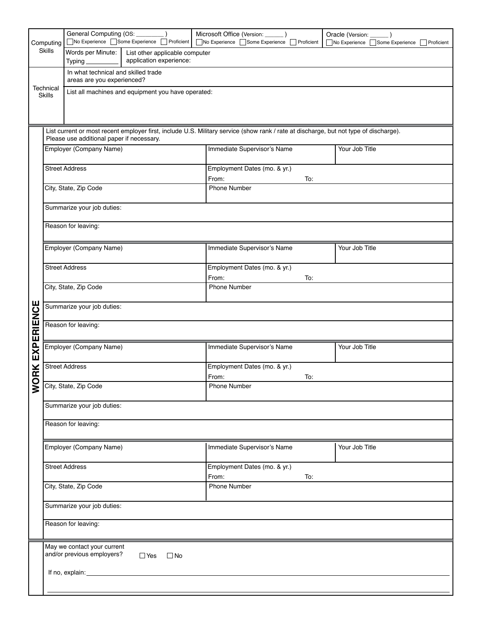| No Experience Some Experience<br>Proficient<br>List current or most recent employer first, include U.S. Military service (show rank / rate at discharge, but not type of discharge). |  |  |  |  |  |  |  |
|--------------------------------------------------------------------------------------------------------------------------------------------------------------------------------------|--|--|--|--|--|--|--|
|                                                                                                                                                                                      |  |  |  |  |  |  |  |
|                                                                                                                                                                                      |  |  |  |  |  |  |  |
|                                                                                                                                                                                      |  |  |  |  |  |  |  |
|                                                                                                                                                                                      |  |  |  |  |  |  |  |
|                                                                                                                                                                                      |  |  |  |  |  |  |  |
|                                                                                                                                                                                      |  |  |  |  |  |  |  |
|                                                                                                                                                                                      |  |  |  |  |  |  |  |
|                                                                                                                                                                                      |  |  |  |  |  |  |  |
|                                                                                                                                                                                      |  |  |  |  |  |  |  |
|                                                                                                                                                                                      |  |  |  |  |  |  |  |
| Employment Dates (mo. & yr.)<br>From:<br>To:                                                                                                                                         |  |  |  |  |  |  |  |
| <b>Phone Number</b>                                                                                                                                                                  |  |  |  |  |  |  |  |
|                                                                                                                                                                                      |  |  |  |  |  |  |  |
| Summarize your job duties:                                                                                                                                                           |  |  |  |  |  |  |  |
| Reason for leaving:                                                                                                                                                                  |  |  |  |  |  |  |  |
|                                                                                                                                                                                      |  |  |  |  |  |  |  |
|                                                                                                                                                                                      |  |  |  |  |  |  |  |
|                                                                                                                                                                                      |  |  |  |  |  |  |  |
| Employment Dates (mo. & yr.)                                                                                                                                                         |  |  |  |  |  |  |  |
| From:<br>To:                                                                                                                                                                         |  |  |  |  |  |  |  |
|                                                                                                                                                                                      |  |  |  |  |  |  |  |
| Summarize your job duties:                                                                                                                                                           |  |  |  |  |  |  |  |
| Reason for leaving:                                                                                                                                                                  |  |  |  |  |  |  |  |
|                                                                                                                                                                                      |  |  |  |  |  |  |  |
|                                                                                                                                                                                      |  |  |  |  |  |  |  |
|                                                                                                                                                                                      |  |  |  |  |  |  |  |
|                                                                                                                                                                                      |  |  |  |  |  |  |  |
| <b>Phone Number</b>                                                                                                                                                                  |  |  |  |  |  |  |  |
|                                                                                                                                                                                      |  |  |  |  |  |  |  |
| Summarize your job duties:                                                                                                                                                           |  |  |  |  |  |  |  |
| Reason for leaving:                                                                                                                                                                  |  |  |  |  |  |  |  |
|                                                                                                                                                                                      |  |  |  |  |  |  |  |
|                                                                                                                                                                                      |  |  |  |  |  |  |  |
|                                                                                                                                                                                      |  |  |  |  |  |  |  |
|                                                                                                                                                                                      |  |  |  |  |  |  |  |
|                                                                                                                                                                                      |  |  |  |  |  |  |  |
|                                                                                                                                                                                      |  |  |  |  |  |  |  |
|                                                                                                                                                                                      |  |  |  |  |  |  |  |
|                                                                                                                                                                                      |  |  |  |  |  |  |  |
|                                                                                                                                                                                      |  |  |  |  |  |  |  |
|                                                                                                                                                                                      |  |  |  |  |  |  |  |
|                                                                                                                                                                                      |  |  |  |  |  |  |  |
|                                                                                                                                                                                      |  |  |  |  |  |  |  |
|                                                                                                                                                                                      |  |  |  |  |  |  |  |
| Your Job Title<br>Immediate Supervisor's Name<br>Phone Number<br>Immediate Supervisor's Name<br>Your Job Title<br>Employment Dates (mo. & yr.)<br>From:<br>To:                       |  |  |  |  |  |  |  |